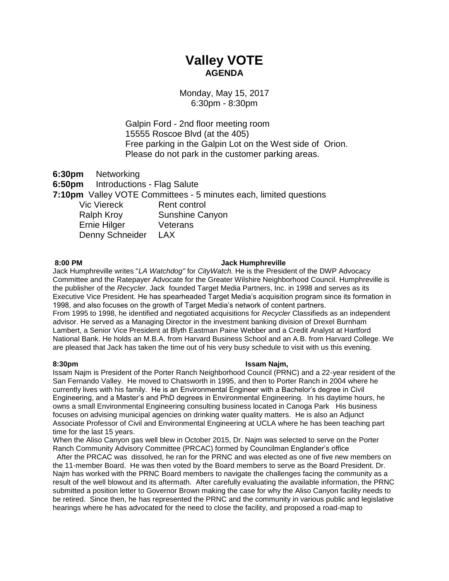# **Valley VOTE AGENDA**

# Monday, May 15, 2017 6:30pm - 8:30pm

Galpin Ford - 2nd floor meeting room 15555 Roscoe Blvd (at the 405) Free parking in the Galpin Lot on the West side of Orion. Please do not park in the customer parking areas.

**6:30pm** Networking

**6:50pm** Introductions - Flag Salute

**7:10pm** Valley VOTE Committees - 5 minutes each, limited questions

Vic Viereck Rent control Ralph Kroy Sunshine Canyon Ernie Hilger Veterans Denny Schneider LAX

### **8:00 PM Jack Humphreville**

Jack Humphreville writes "*LA Watchdog"* for *CityWatch.* He is the President of the DWP Advocacy Committee and the Ratepayer Advocate for the Greater Wilshire Neighborhood Council. Humphreville is the publisher of the *Recycler.* Jack founded Target Media Partners, Inc. in 1998 and serves as its Executive Vice President. He has spearheaded Target Media's acquisition program since its formation in 1998, and also focuses on the growth of Target Media's network of content partners. From 1995 to 1998, he identified and negotiated acquisitions for *Recycler* Classifieds as an independent advisor. He served as a Managing Director in the investment banking division of Drexel Burnham Lambert, a Senior Vice President at Blyth Eastman Paine Webber and a Credit Analyst at Hartford National Bank. He holds an M.B.A. from Harvard Business School and an A.B. from Harvard College. We are pleased that Jack has taken the time out of his very busy schedule to visit with us this evening.

### **8:30pm Issam Najm,**

Issam Najm is President of the Porter Ranch Neighborhood Council (PRNC) and a 22-year resident of the San Fernando Valley. He moved to Chatsworth in 1995, and then to Porter Ranch in 2004 where he currently lives with his family. He is an Environmental Engineer with a Bachelor's degree in Civil Engineering, and a Master's and PhD degrees in Environmental Engineering. In his daytime hours, he owns a small Environmental Engineering consulting business located in Canoga Park His business focuses on advising municipal agencies on drinking water quality matters. He is also an Adjunct Associate Professor of Civil and Environmental Engineering at UCLA where he has been teaching part time for the last 15 years.

When the Aliso Canyon gas well blew in October 2015, Dr. Najm was selected to serve on the Porter Ranch Community Advisory Committee (PRCAC) formed by Councilman Englander's office

After the PRCAC was dissolved, he ran for the PRNC and was elected as one of five new members on the 11-member Board. He was then voted by the Board members to serve as the Board President. Dr. Najm has worked with the PRNC Board members to navigate the challenges facing the community as a result of the well blowout and its aftermath. After carefully evaluating the available information, the PRNC submitted a position letter to Governor Brown making the case for why the Aliso Canyon facility needs to be retired. Since then, he has represented the PRNC and the community in various public and legislative hearings where he has advocated for the need to close the facility, and proposed a road-map to